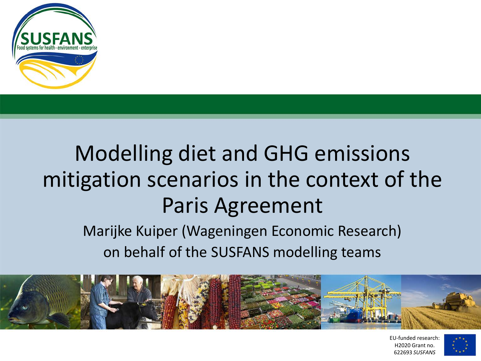

### Modelling diet and GHG emissions mitigation scenarios in the context of the Paris Agreement

Marijke Kuiper (Wageningen Economic Research) on behalf of the SUSFANS modelling teams



EU-funded research: H2020 Grant no. 622693 *SUSFANS*

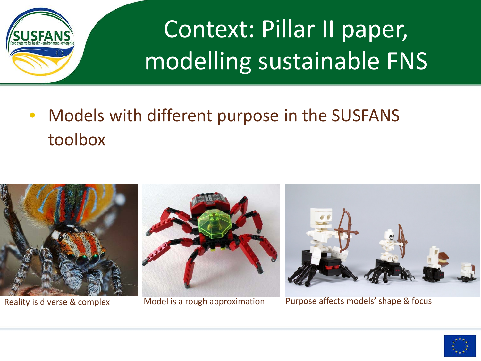

Context: Pillar II paper, modelling sustainable FNS

• Models with different purpose in the SUSFANS toolbox







Reality is diverse & complex Model is a rough approximation Purpose affects models' shape & focus

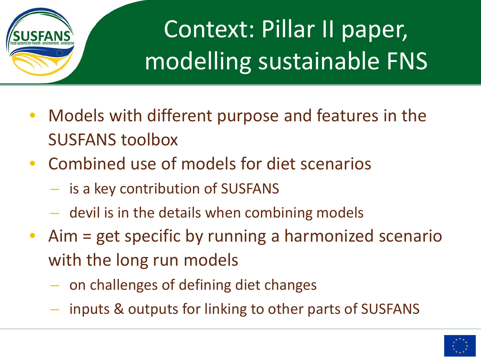

# Context: Pillar II paper, modelling sustainable FNS

- Models with different purpose and features in the SUSFANS toolbox
- Combined use of models for diet scenarios
	- is a key contribution of SUSFANS
	- devil is in the details when combining models
- Aim = get specific by running a harmonized scenario with the long run models
	- on challenges of defining diet changes
	- inputs & outputs for linking to other parts of SUSFANS

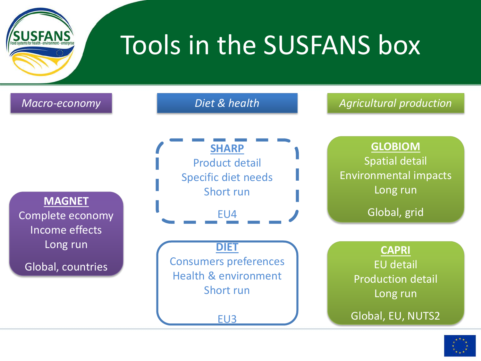

### Tools in the SUSFANS box



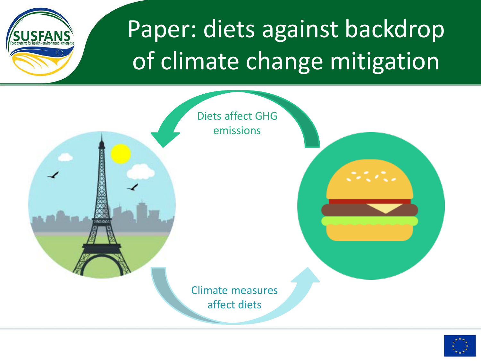

### Paper: diets against backdrop of climate change mitigation



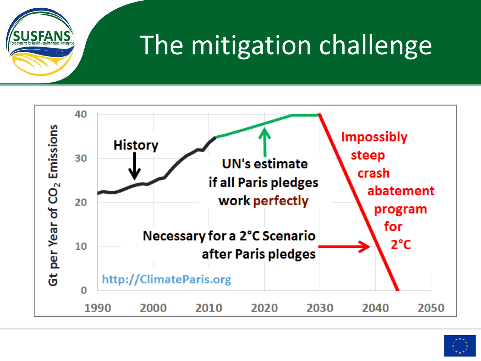

### The mitigation challenge



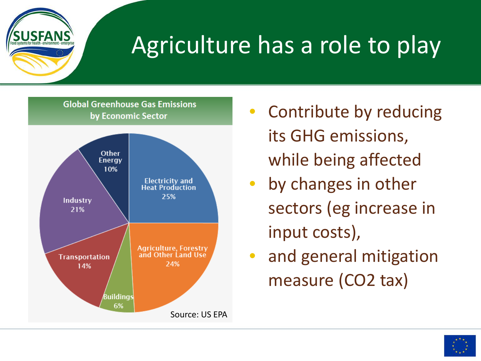

### Agriculture has a role to play

**Global Greenhouse Gas Emissions** by Economic Sector



- Contribute by reducing its GHG emissions, while being affected
	- by changes in other sectors (eg increase in input costs),
- and general mitigation measure (CO2 tax)

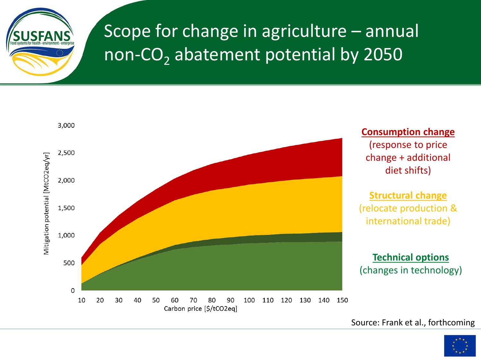

#### Scope for change in agriculture – annual non-CO<sub>2</sub> abatement potential by 2050



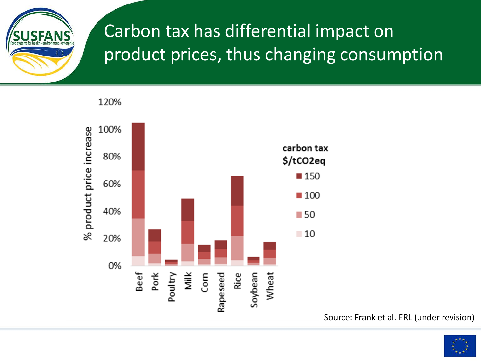

#### Carbon tax has differential impact on product prices, thus changing consumption

120%



Source: Frank et al. ERL (under revision)

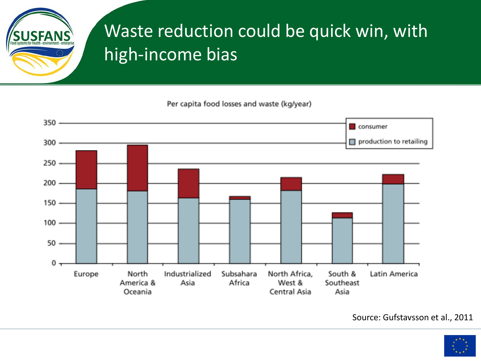

#### Waste reduction could be quick win, with high-income bias

Per capita food losses and waste (kg/year)



Source: Gufstavsson et al., 2011

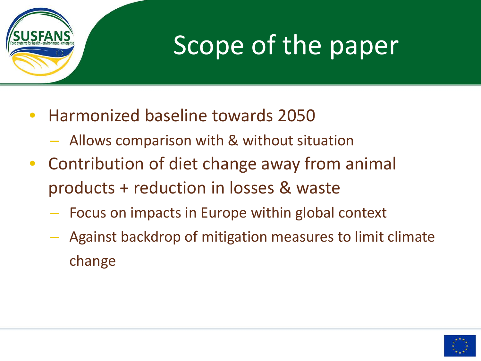

### Scope of the paper

- Harmonized baseline towards 2050
	- Allows comparison with & without situation
- Contribution of diet change away from animal products + reduction in losses & waste
	- Focus on impacts in Europe within global context
	- Against backdrop of mitigation measures to limit climate change